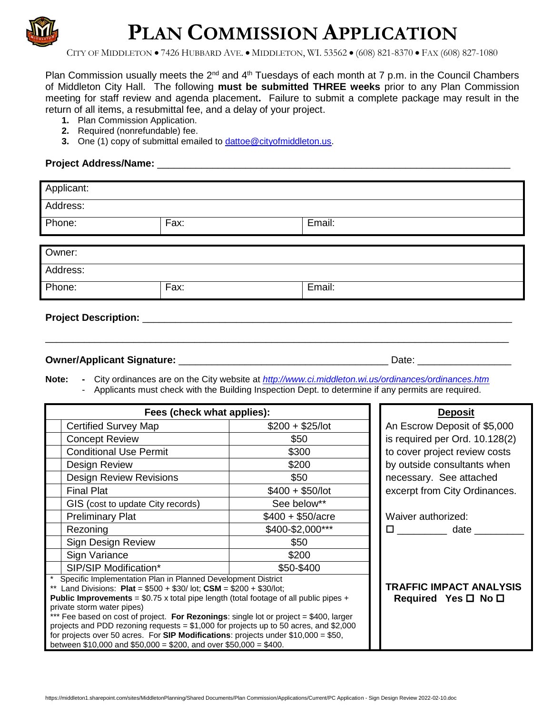

# **PLAN COMMISSION APPLICATION**

CITY OF MIDDLETON • 7426 HUBBARD AVE. • MIDDLETON, WI. 53562 • (608) 821-8370 • FAX (608) 827-1080

Plan Commission usually meets the  $2^{nd}$  and  $4^{th}$  Tuesdays of each month at 7 p.m. in the Council Chambers of Middleton City Hall. The following **must be submitted THREE weeks** prior to any Plan Commission meeting for staff review and agenda placement**.** Failure to submit a complete package may result in the return of all items, a resubmittal fee, and a delay of your project.

- **1.** Plan Commission Application.
- **2.** Required (nonrefundable) fee.
- **3.** One (1) copy of submittal emailed to [dattoe@cityofmiddleton.us.](mailto:dattoe@cityofmiddleton.us)

#### **Project Address/Name: Department of the state of the state of the state of the state of the state of the state of the state of the state of the state of the state of the state of the state of the state of the state of t**

| Applicant:                  |      |        |
|-----------------------------|------|--------|
| Address:                    |      |        |
| Phone:                      | Fax: | Email: |
|                             |      |        |
| Owner:                      |      |        |
| Address:                    |      |        |
| Phone:                      | Fax: | Email: |
| <b>Project Description:</b> |      |        |
|                             |      |        |

**Note: -** City ordinances are on the City website at *<http://www.ci.middleton.wi.us/ordinances/ordinances.htm>* - Applicants must check with the Building Inspection Dept. to determine if any permits are required.

| Fees (check what applies):                                                                                                                                                                                                                                                                                                                                                                                                                                                                                                                                                                                                   |                    | <b>Deposit</b>                                                        |
|------------------------------------------------------------------------------------------------------------------------------------------------------------------------------------------------------------------------------------------------------------------------------------------------------------------------------------------------------------------------------------------------------------------------------------------------------------------------------------------------------------------------------------------------------------------------------------------------------------------------------|--------------------|-----------------------------------------------------------------------|
| <b>Certified Survey Map</b>                                                                                                                                                                                                                                                                                                                                                                                                                                                                                                                                                                                                  | $$200 + $25/$ lot  | An Escrow Deposit of \$5,000                                          |
| <b>Concept Review</b>                                                                                                                                                                                                                                                                                                                                                                                                                                                                                                                                                                                                        | \$50               | is required per Ord. 10.128(2)                                        |
| <b>Conditional Use Permit</b>                                                                                                                                                                                                                                                                                                                                                                                                                                                                                                                                                                                                | \$300              | to cover project review costs                                         |
| Design Review                                                                                                                                                                                                                                                                                                                                                                                                                                                                                                                                                                                                                | \$200              | by outside consultants when                                           |
| <b>Design Review Revisions</b>                                                                                                                                                                                                                                                                                                                                                                                                                                                                                                                                                                                               | \$50               | necessary. See attached                                               |
| <b>Final Plat</b>                                                                                                                                                                                                                                                                                                                                                                                                                                                                                                                                                                                                            | $$400 + $50/lot$   | excerpt from City Ordinances.                                         |
| GIS (cost to update City records)                                                                                                                                                                                                                                                                                                                                                                                                                                                                                                                                                                                            | See below**        |                                                                       |
| <b>Preliminary Plat</b>                                                                                                                                                                                                                                                                                                                                                                                                                                                                                                                                                                                                      | $$400 + $50/$ acre | Waiver authorized:                                                    |
| Rezoning                                                                                                                                                                                                                                                                                                                                                                                                                                                                                                                                                                                                                     | \$400-\$2,000***   | $\square$ date                                                        |
| Sign Design Review                                                                                                                                                                                                                                                                                                                                                                                                                                                                                                                                                                                                           | \$50               |                                                                       |
| Sign Variance                                                                                                                                                                                                                                                                                                                                                                                                                                                                                                                                                                                                                | \$200              |                                                                       |
| SIP/SIP Modification*                                                                                                                                                                                                                                                                                                                                                                                                                                                                                                                                                                                                        | \$50-\$400         |                                                                       |
| * Specific Implementation Plan in Planned Development District<br>** Land Divisions: Plat = $$500 + $30/$ lot; CSM = $$200 + $30/$ lot;<br><b>Public Improvements</b> = $$0.75 \times$ total pipe length (total footage of all public pipes +<br>private storm water pipes)<br>*** Fee based on cost of project. For Rezonings: single lot or project = \$400, larger<br>projects and PDD rezoning requests = $$1,000$ for projects up to 50 acres, and $$2,000$<br>for projects over 50 acres. For SIP Modifications: projects under $$10,000 = $50$ ,<br>between \$10,000 and \$50,000 = \$200, and over \$50,000 = \$400. |                    | <b>TRAFFIC IMPACT ANALYSIS</b><br>Required Yes $\square$ No $\square$ |

**Owner/Applicant Signature:** \_\_\_\_\_\_\_\_\_\_\_\_\_\_\_\_\_\_\_\_\_\_\_\_\_\_\_\_\_\_\_\_\_\_\_\_\_\_ Date: \_\_\_\_\_\_\_\_\_\_\_\_\_\_\_\_\_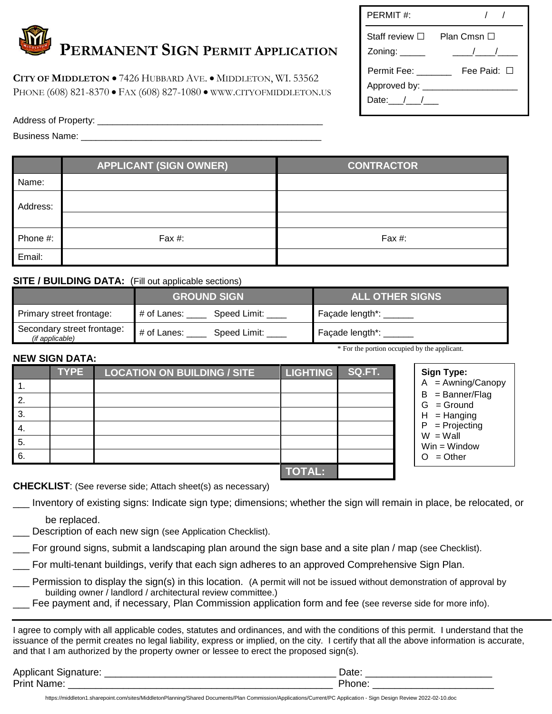| <b>DERMANENT SIGN PERMIT APPLICATION</b> |
|------------------------------------------|
|                                          |

**CITY OF MIDDLETON** • 7426 HUBBARD AVE. • MIDDLETON, WI. 53562 PHONE (608) 821-8370 • FAX (608) 827-1080 • WWW.CITYOFMIDDLETON.US

| PERMIT#:                                       |                                          |
|------------------------------------------------|------------------------------------------|
| Staff review $\Box$<br>Zoning: $\_\_$          | Plan Cmsn $\Box$<br>$\frac{1}{\sqrt{2}}$ |
| Permit Fee:<br>Approved by: ___<br>Date: $/$ / | Fee Paid: □                              |

Business Name: \_\_\_\_\_\_\_\_\_\_\_\_\_\_\_\_\_\_\_\_\_\_\_\_\_\_\_\_\_\_\_\_\_\_\_\_\_\_\_\_\_\_\_\_\_\_\_\_

|          | <b>APPLICANT (SIGN OWNER)</b> | <b>CONTRACTOR</b> |
|----------|-------------------------------|-------------------|
| Name:    |                               |                   |
| Address: |                               |                   |
|          |                               |                   |
| Phone #: | Fax #:                        | Fax #:            |
| Email:   |                               |                   |

### **SITE / BUILDING DATA:** (Fill out applicable sections)

|                                               | <b>GROUND SIGN</b>          | <b>ALL OTHER SIGNS</b> |
|-----------------------------------------------|-----------------------------|------------------------|
| Primary street frontage:                      | Speed Limit:<br># of Lanes: | Façade length*:        |
| Secondary street frontage:<br>(if applicable) | # of Lanes:<br>Speed Limit: | Façade length*:        |

#### **NEW SIGN DATA:**

**TYPE LOCATION ON BUILDING / SITE LIGHTING SQ.FT.** 1. 2. 3. 4. 5. 6. **TOTAL:**

| <b>CHECKLIST:</b> (See reverse side; Attach sheet(s) as necessary) |  |
|--------------------------------------------------------------------|--|

\_\_\_ Inventory of existing signs: Indicate sign type; dimensions; whether the sign will remain in place, be relocated, or

be replaced.

Description of each new sign (see Application Checklist).

\_\_\_ For ground signs, submit a landscaping plan around the sign base and a site plan / map (see Checklist).

\_\_\_ For multi-tenant buildings, verify that each sign adheres to an approved Comprehensive Sign Plan.

Permission to display the sign(s) in this location. (A permit will not be issued without demonstration of approval by building owner / landlord / architectural review committee.)

Fee payment and, if necessary, Plan Commission application form and fee (see reverse side for more info).

I agree to comply with all applicable codes, statutes and ordinances, and with the conditions of this permit. I understand that the issuance of the permit creates no legal liability, express or implied, on the city. I certify that all the above information is accurate, and that I am authorized by the property owner or lessee to erect the proposed sign(s).

| <b>Applicant Signature:</b> | Date |
|-----------------------------|------|
| <b>Print Name:</b>          |      |

https://middleton1.sharepoint.com/sites/MiddletonPlanning/Shared Documents/Plan Commission/Applications/Current/PC Application - Sign Design Review 2022-02-10.doc

\* For the portion occupied by the applicant.

**Sign Type:**

 $A = A$ wning/Canopy  $B =$ Banner/Flag  $G =$  Ground  $H =$  Hanging  $P = Projecting$  $W =$  Wall Win = Window  $O = Other$